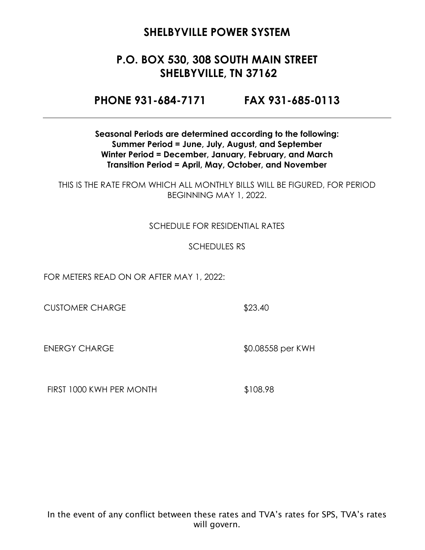## **P.O. BOX 530, 308 SOUTH MAIN STREET SHELBYVILLE, TN 37162**

**PHONE 931-684-7171 FAX 931-685-0113**

**Seasonal Periods are determined according to the following: Summer Period = June, July, August, and September Winter Period = December, January, February, and March Transition Period = April, May, October, and November**

THIS IS THE RATE FROM WHICH ALL MONTHLY BILLS WILL BE FIGURED, FOR PERIOD BEGINNING MAY 1, 2022.

#### SCHEDULE FOR RESIDENTIAL RATES

#### SCHEDULES RS

FOR METERS READ ON OR AFTER MAY 1, 2022:

CUSTOMER CHARGE \$23.40

ENERGY CHARGE \$0.08558 per KWH

FIRST 1000 KWH PER MONTH \$108.98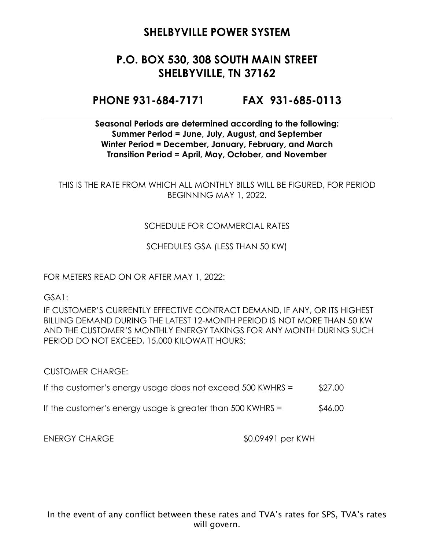# **P.O. BOX 530, 308 SOUTH MAIN STREET SHELBYVILLE, TN 37162**

#### **PHONE 931-684-7171 FAX 931-685-0113**

#### **Seasonal Periods are determined according to the following: Summer Period = June, July, August, and September Winter Period = December, January, February, and March Transition Period = April, May, October, and November**

THIS IS THE RATE FROM WHICH ALL MONTHLY BILLS WILL BE FIGURED, FOR PERIOD BEGINNING MAY 1, 2022.

#### SCHEDULE FOR COMMERCIAL RATES

SCHEDULES GSA (LESS THAN 50 KW)

FOR METERS READ ON OR AFTER MAY 1, 2022:

GSA1:

IF CUSTOMER'S CURRENTLY EFFECTIVE CONTRACT DEMAND, IF ANY, OR ITS HIGHEST BILLING DEMAND DURING THE LATEST 12-MONTH PERIOD IS NOT MORE THAN 50 KW AND THE CUSTOMER'S MONTHLY ENERGY TAKINGS FOR ANY MONTH DURING SUCH PERIOD DO NOT EXCEED, 15,000 KILOWATT HOURS:

CUSTOMER CHARGE:

- If the customer's energy usage does not exceed  $500$  KWHRS =  $$27.00$
- If the customer's energy usage is greater than  $500$  KWHRS =  $$46.00$

ENERGY CHARGE  $$0.09491$  per KWH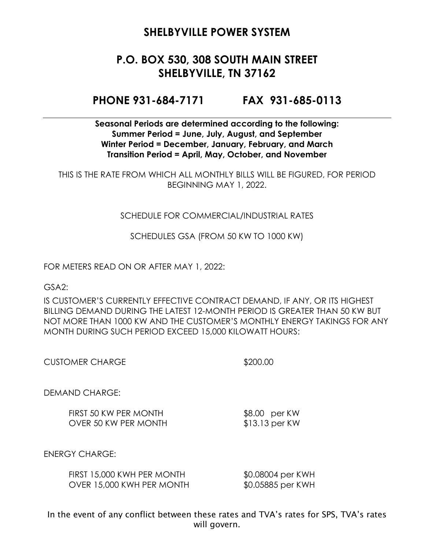# **P.O. BOX 530, 308 SOUTH MAIN STREET SHELBYVILLE, TN 37162**

#### **PHONE 931-684-7171 FAX 931-685-0113**

**Seasonal Periods are determined according to the following: Summer Period = June, July, August, and September Winter Period = December, January, February, and March Transition Period = April, May, October, and November**

THIS IS THE RATE FROM WHICH ALL MONTHLY BILLS WILL BE FIGURED, FOR PERIOD BEGINNING MAY 1, 2022.

#### SCHEDULE FOR COMMERCIAL/INDUSTRIAL RATES

SCHEDULES GSA (FROM 50 KW TO 1000 KW)

FOR METERS READ ON OR AFTER MAY 1, 2022:

GSA2:

IS CUSTOMER'S CURRENTLY EFFECTIVE CONTRACT DEMAND, IF ANY, OR ITS HIGHEST BILLING DEMAND DURING THE LATEST 12-MONTH PERIOD IS GREATER THAN 50 KW BUT NOT MORE THAN 1000 KW AND THE CUSTOMER'S MONTHLY ENERGY TAKINGS FOR ANY MONTH DURING SUCH PERIOD EXCEED 15,000 KILOWATT HOURS:

\$200.00

DEMAND CHARGE:

FIRST 50 KW PER MONTH \$8.00 per KW OVER 50 KW PER MONTH \$13.13 per KW

ENERGY CHARGE:

| FIRST 15,000 KWH PER MONTH | \$0.08004 per KWH |
|----------------------------|-------------------|
| OVER 15,000 KWH PER MONTH  | \$0.05885 per KWH |

In the event of any conflict between these rates and TVA's rates for SPS, TVA's rates will govern.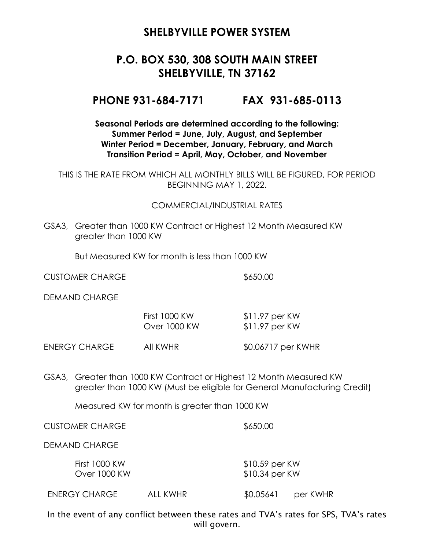# **P.O. BOX 530, 308 SOUTH MAIN STREET SHELBYVILLE, TN 37162**

**PHONE 931-684-7171 FAX 931-685-0113**

**Seasonal Periods are determined according to the following: Summer Period = June, July, August, and September Winter Period = December, January, February, and March Transition Period = April, May, October, and November**

THIS IS THE RATE FROM WHICH ALL MONTHLY BILLS WILL BE FIGURED, FOR PERIOD BEGINNING MAY 1, 2022.

#### COMMERCIAL/INDUSTRIAL RATES

GSA3, Greater than 1000 KW Contract or Highest 12 Month Measured KW greater than 1000 KW

But Measured KW for month is less than 1000 KW

CUSTOMER CHARGE \$650.00

DEMAND CHARGE

|               | <b>First 1000 KW</b><br>Over 1000 KW | $$11.97$ per KW<br>$$11.97$ per KW |
|---------------|--------------------------------------|------------------------------------|
| ENERGY CHARGE | AII KWHR                             | \$0.06717 per KWHR                 |

GSA3, Greater than 1000 KW Contract or Highest 12 Month Measured KW greater than 1000 KW (Must be eligible for General Manufacturing Credit)

Measured KW for month is greater than 1000 KW

CUSTOMER CHARGE \$650.00

DEMAND CHARGE

First 1000 KW \$10.59 per KW Over 1000 KW \$10.34 per KW

ENERGY CHARGE ALL KWHR \$0.05641 per KWHR

In the event of any conflict between these rates and TVA's rates for SPS, TVA's rates will govern.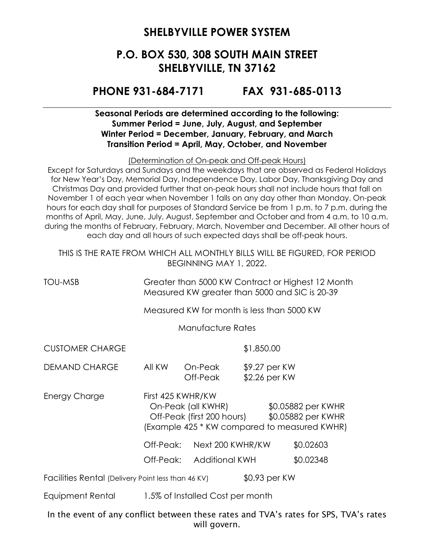### **P.O. BOX 530, 308 SOUTH MAIN STREET SHELBYVILLE, TN 37162**

#### **PHONE 931-684-7171 FAX 931-685-0113**

#### **Seasonal Periods are determined according to the following: Summer Period = June, July, August, and September Winter Period = December, January, February, and March Transition Period = April, May, October, and November**

(Determination of On-peak and Off-peak Hours)

Except for Saturdays and Sundays and the weekdays that are observed as Federal Holidays for New Year's Day, Memorial Day, Independence Day, Labor Day, Thanksgiving Day and Christmas Day and provided further that on-peak hours shall not include hours that fall on November 1 of each year when November 1 falls on any day other than Monday. On-peak hours for each day shall for purposes of Standard Service be from 1 p.m. to 7 p.m. during the months of April, May, June, July, August, September and October and from 4 a.m. to 10 a.m. during the months of February, February, March, November and December. All other hours of each day and all hours of such expected days shall be off-peak hours.

THIS IS THE RATE FROM WHICH ALL MONTHLY BILLS WILL BE FIGURED, FOR PERIOD BEGINNING MAY 1, 2022.

TOU-MSB Greater than 5000 KW Contract or Highest 12 Month Measured KW greater than 5000 and SIC is 20-39

Measured KW for month is less than 5000 KW

Manufacture Rates

CUSTOMER CHARGE \$1,850.00

DEMAND CHARGE All KW On-Peak \$9.27 per KW Off-Peak \$2.26 per KW

Energy Charge First 425 KWHR/KW On-Peak (all KWHR) \$0.05882 per KWHR Off-Peak (first 200 hours) \$0.05882 per KWHR (Example 425 \* KW compared to measured KWHR)

Off-Peak: Next 200 KWHR/KW \$0.02603

Off-Peak: Additional KWH \$0.02348

Facilities Rental (Delivery Point less than 46 KV) \$0.93 per KW

Equipment Rental 1.5% of Installed Cost per month

In the event of any conflict between these rates and TVA's rates for SPS, TVA's rates will govern.